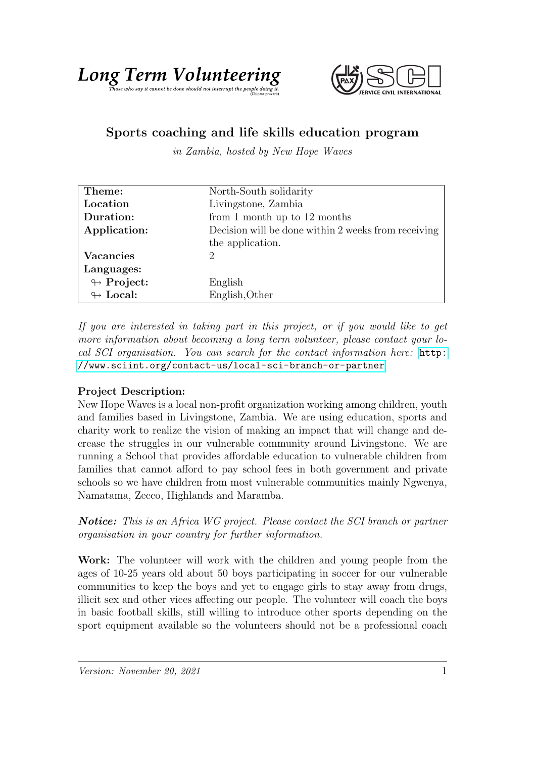



## Sports coaching and life skills education program

in Zambia, hosted by New Hope Waves

| Theme:                     | North-South solidarity                              |
|----------------------------|-----------------------------------------------------|
| Location                   | Livingstone, Zambia                                 |
| Duration:                  | from 1 month up to $12$ months                      |
| Application:               | Decision will be done within 2 weeks from receiving |
|                            | the application.                                    |
| <b>Vacancies</b>           | 2                                                   |
| Languages:                 |                                                     |
| $\looparrowright$ Project: | English                                             |
| $\leftrightarrow$ Local:   | English, Other                                      |

If you are interested in taking part in this project, or if you would like to get more information about becoming a long term volunteer, please contact your local SCI organisation. You can search for the contact information here: [http:](http://www.sciint.org/contact-us/local-sci-branch-or-partner) [//www.sciint.org/contact-us/local-sci-branch-or-partner](http://www.sciint.org/contact-us/local-sci-branch-or-partner)

## Project Description:

New Hope Waves is a local non-profit organization working among children, youth and families based in Livingstone, Zambia. We are using education, sports and charity work to realize the vision of making an impact that will change and decrease the struggles in our vulnerable community around Livingstone. We are running a School that provides affordable education to vulnerable children from families that cannot afford to pay school fees in both government and private schools so we have children from most vulnerable communities mainly Ngwenya, Namatama, Zecco, Highlands and Maramba.

Notice: This is an Africa WG project. Please contact the SCI branch or partner organisation in your country for further information.

Work: The volunteer will work with the children and young people from the ages of 10-25 years old about 50 boys participating in soccer for our vulnerable communities to keep the boys and yet to engage girls to stay away from drugs, illicit sex and other vices affecting our people. The volunteer will coach the boys in basic football skills, still willing to introduce other sports depending on the sport equipment available so the volunteers should not be a professional coach